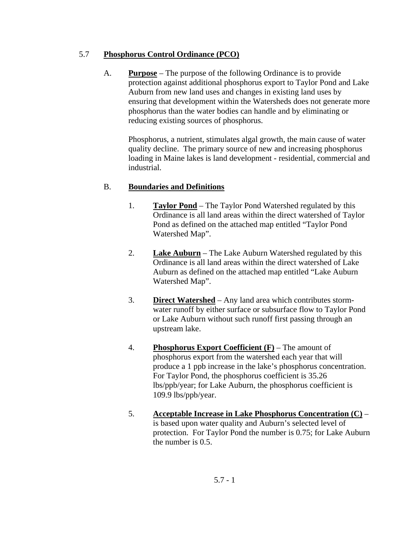### 5.7 **Phosphorus Control Ordinance (PCO)**

A. **Purpose** – The purpose of the following Ordinance is to provide protection against additional phosphorus export to Taylor Pond and Lake Auburn from new land uses and changes in existing land uses by ensuring that development within the Watersheds does not generate more phosphorus than the water bodies can handle and by eliminating or reducing existing sources of phosphorus.

 Phosphorus, a nutrient, stimulates algal growth, the main cause of water quality decline. The primary source of new and increasing phosphorus loading in Maine lakes is land development - residential, commercial and industrial.

# B. **Boundaries and Definitions**

- 1. **Taylor Pond** The Taylor Pond Watershed regulated by this Ordinance is all land areas within the direct watershed of Taylor Pond as defined on the attached map entitled "Taylor Pond Watershed Map".
- 2. **Lake Auburn** The Lake Auburn Watershed regulated by this Ordinance is all land areas within the direct watershed of Lake Auburn as defined on the attached map entitled "Lake Auburn Watershed Map".
- 3. **Direct Watershed** Any land area which contributes stormwater runoff by either surface or subsurface flow to Taylor Pond or Lake Auburn without such runoff first passing through an upstream lake.
- 4. **Phosphorus Export Coefficient (F)** The amount of phosphorus export from the watershed each year that will produce a 1 ppb increase in the lake's phosphorus concentration. For Taylor Pond, the phosphorus coefficient is 35.26 lbs/ppb/year; for Lake Auburn, the phosphorus coefficient is 109.9 lbs/ppb/year.
- 5. **Acceptable Increase in Lake Phosphorus Concentration (C)** is based upon water quality and Auburn's selected level of protection. For Taylor Pond the number is 0.75; for Lake Auburn the number is 0.5.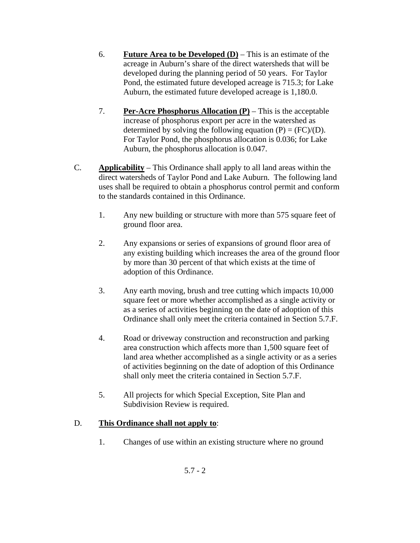- 6. **Future Area to be Developed**  $(D)$  This is an estimate of the acreage in Auburn's share of the direct watersheds that will be developed during the planning period of 50 years. For Taylor Pond, the estimated future developed acreage is 715.3; for Lake Auburn, the estimated future developed acreage is 1,180.0.
- 7. **Per-Acre Phosphorus Allocation (P)** This is the acceptable increase of phosphorus export per acre in the watershed as determined by solving the following equation  $(P) = (FC)/(D)$ . For Taylor Pond, the phosphorus allocation is 0.036; for Lake Auburn, the phosphorus allocation is 0.047.
- C. **Applicability** This Ordinance shall apply to all land areas within the direct watersheds of Taylor Pond and Lake Auburn. The following land uses shall be required to obtain a phosphorus control permit and conform to the standards contained in this Ordinance.
	- 1. Any new building or structure with more than 575 square feet of ground floor area.
	- 2. Any expansions or series of expansions of ground floor area of any existing building which increases the area of the ground floor by more than 30 percent of that which exists at the time of adoption of this Ordinance.
	- 3. Any earth moving, brush and tree cutting which impacts 10,000 square feet or more whether accomplished as a single activity or as a series of activities beginning on the date of adoption of this Ordinance shall only meet the criteria contained in Section 5.7.F.
	- 4. Road or driveway construction and reconstruction and parking area construction which affects more than 1,500 square feet of land area whether accomplished as a single activity or as a series of activities beginning on the date of adoption of this Ordinance shall only meet the criteria contained in Section 5.7.F.
	- 5. All projects for which Special Exception, Site Plan and Subdivision Review is required.

# D. **This Ordinance shall not apply to**:

1. Changes of use within an existing structure where no ground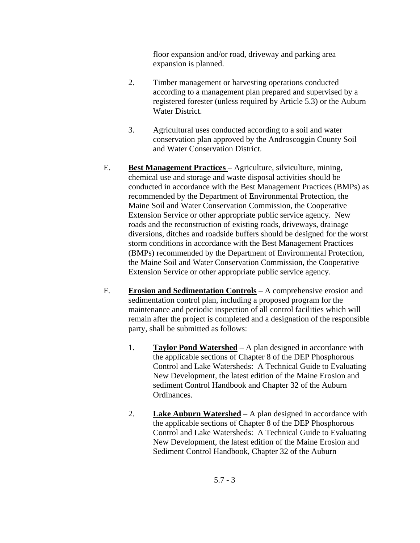floor expansion and/or road, driveway and parking area expansion is planned.

- 2. Timber management or harvesting operations conducted according to a management plan prepared and supervised by a registered forester (unless required by Article 5.3) or the Auburn Water District.
- 3. Agricultural uses conducted according to a soil and water conservation plan approved by the Androscoggin County Soil and Water Conservation District.
- E. **Best Management Practices**  Agriculture, silviculture, mining, chemical use and storage and waste disposal activities should be conducted in accordance with the Best Management Practices (BMPs) as recommended by the Department of Environmental Protection, the Maine Soil and Water Conservation Commission, the Cooperative Extension Service or other appropriate public service agency. New roads and the reconstruction of existing roads, driveways, drainage diversions, ditches and roadside buffers should be designed for the worst storm conditions in accordance with the Best Management Practices (BMPs) recommended by the Department of Environmental Protection, the Maine Soil and Water Conservation Commission, the Cooperative Extension Service or other appropriate public service agency.
- F. **Erosion and Sedimentation Controls** A comprehensive erosion and sedimentation control plan, including a proposed program for the maintenance and periodic inspection of all control facilities which will remain after the project is completed and a designation of the responsible party, shall be submitted as follows:
	- 1. **Taylor Pond Watershed** A plan designed in accordance with the applicable sections of Chapter 8 of the DEP Phosphorous Control and Lake Watersheds: A Technical Guide to Evaluating New Development, the latest edition of the Maine Erosion and sediment Control Handbook and Chapter 32 of the Auburn Ordinances.
	- 2. **Lake Auburn Watershed** A plan designed in accordance with the applicable sections of Chapter 8 of the DEP Phosphorous Control and Lake Watersheds: A Technical Guide to Evaluating New Development, the latest edition of the Maine Erosion and Sediment Control Handbook, Chapter 32 of the Auburn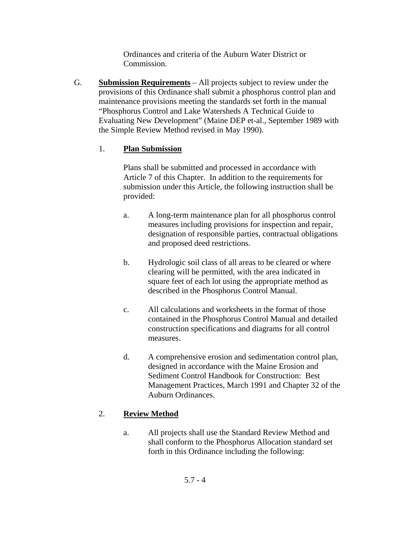Ordinances and criteria of the Auburn Water District or Commission.

G. **Submission Requirements** – All projects subject to review under the provisions of this Ordinance shall submit a phosphorus control plan and maintenance provisions meeting the standards set forth in the manual "Phosphorus Control and Lake Watersheds A Technical Guide to Evaluating New Development" (Maine DEP et-al., September 1989 with the Simple Review Method revised in May 1990).

### 1. **Plan Submission**

Plans shall be submitted and processed in accordance with Article 7 of this Chapter. In addition to the requirements for submission under this Article, the following instruction shall be provided:

- a. A long-term maintenance plan for all phosphorus control measures including provisions for inspection and repair, designation of responsible parties, contractual obligations and proposed deed restrictions.
- b. Hydrologic soil class of all areas to be cleared or where clearing will be permitted, with the area indicated in square feet of each lot using the appropriate method as described in the Phosphorus Control Manual.
- c. All calculations and worksheets in the format of those contained in the Phosphorus Control Manual and detailed construction specifications and diagrams for all control measures.
- d. A comprehensive erosion and sedimentation control plan, designed in accordance with the Maine Erosion and Sediment Control Handbook for Construction: Best Management Practices, March 1991 and Chapter 32 of the Auburn Ordinances.

# 2. **Review Method**

a. All projects shall use the Standard Review Method and shall conform to the Phosphorus Allocation standard set forth in this Ordinance including the following: